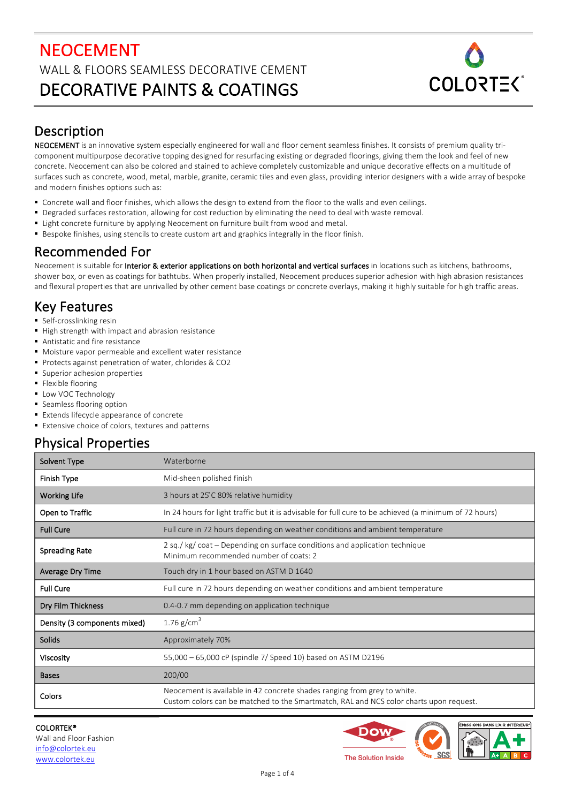# NEOCEMENT WALL & FLOORS SEAMLESS DECORATIVE CEMENT DECORATIVE PAINTS & COATINGS



## Description

NEOCEMENT is an innovative system especially engineered for wall and floor cement seamless finishes. It consists of premium quality tricomponent multipurpose decorative topping designed for resurfacing existing or degraded floorings, giving them the look and feel of new concrete. Neocement can also be colored and stained to achieve completely customizable and unique decorative effects on a multitude of surfaces such as concrete, wood, metal, marble, granite, ceramic tiles and even glass, providing interior designers with a wide array of bespoke and modern finishes options such as:

- Concrete wall and floor finishes, which allows the design to extend from the floor to the walls and even ceilings.
- Degraded surfaces restoration, allowing for cost reduction by eliminating the need to deal with waste removal.
- Light concrete furniture by applying Neocement on furniture built from wood and metal.
- Bespoke finishes, using stencils to create custom art and graphics integrally in the floor finish.

### Recommended For

Neocement is suitable for Interior & exterior applications on both horizontal and vertical surfaces in locations such as kitchens, bathrooms, shower box, or even as coatings for bathtubs. When properly installed, Neocement produces superior adhesion with high abrasion resistances and flexural properties that are unrivalled by other cement base coatings or concrete overlays, making it highly suitable for high traffic areas.

## Key Features

- Self-crosslinking resin
- High strength with impact and abrasion resistance
- Antistatic and fire resistance
- Moisture vapor permeable and excellent water resistance
- Protects against penetration of water, chlorides & CO2
- Superior adhesion properties
- Flexible flooring
- Low VOC Technology
- Seamless flooring option
- Extends lifecycle appearance of concrete
- Extensive choice of colors, textures and patterns

### Physical Properties

| Solvent Type                 | Waterborne                                                                                                                                                         |  |  |
|------------------------------|--------------------------------------------------------------------------------------------------------------------------------------------------------------------|--|--|
| Finish Type                  | Mid-sheen polished finish                                                                                                                                          |  |  |
| <b>Working Life</b>          | 3 hours at 25°C 80% relative humidity                                                                                                                              |  |  |
| Open to Traffic              | In 24 hours for light traffic but it is advisable for full cure to be achieved (a minimum of 72 hours)                                                             |  |  |
| <b>Full Cure</b>             | Full cure in 72 hours depending on weather conditions and ambient temperature                                                                                      |  |  |
| <b>Spreading Rate</b>        | 2 sq./ kg/ coat – Depending on surface conditions and application technique<br>Minimum recommended number of coats: 2                                              |  |  |
| <b>Average Dry Time</b>      | Touch dry in 1 hour based on ASTM D 1640                                                                                                                           |  |  |
| <b>Full Cure</b>             | Full cure in 72 hours depending on weather conditions and ambient temperature                                                                                      |  |  |
| Dry Film Thickness           | 0.4-0.7 mm depending on application technique                                                                                                                      |  |  |
| Density (3 components mixed) | 1.76 $g/cm^3$                                                                                                                                                      |  |  |
| Solids                       | Approximately 70%                                                                                                                                                  |  |  |
| <b>Viscosity</b>             | 55,000 - 65,000 cP (spindle 7/ Speed 10) based on ASTM D2196                                                                                                       |  |  |
| <b>Bases</b>                 | 200/00                                                                                                                                                             |  |  |
| Colors                       | Neocement is available in 42 concrete shades ranging from grey to white.<br>Custom colors can be matched to the Smartmatch, RAL and NCS color charts upon request. |  |  |

COLORTEK® Wall and Floor Fashion info@colortek.eu www.colortek.eu

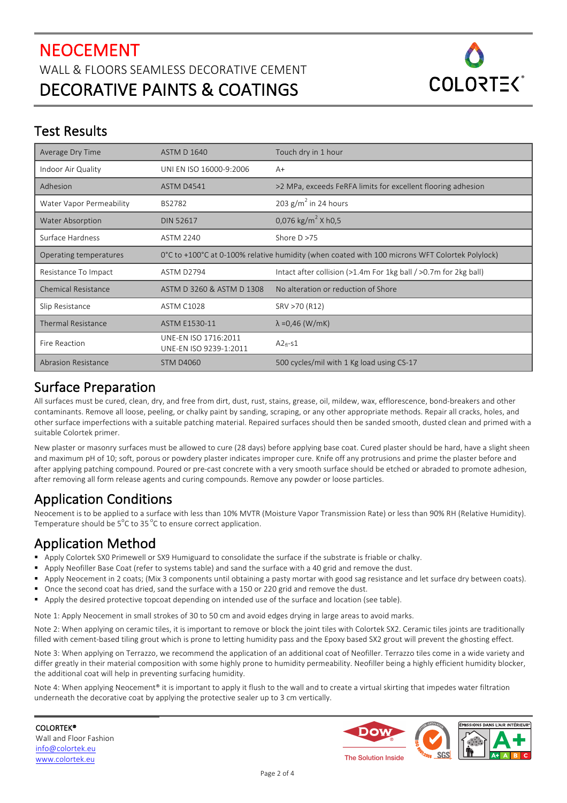

### Test Results

| Average Dry Time           | <b>ASTM D 1640</b>                             | Touch dry in 1 hour                                                                            |  |
|----------------------------|------------------------------------------------|------------------------------------------------------------------------------------------------|--|
| Indoor Air Quality         | UNI EN ISO 16000-9:2006                        | $A+$                                                                                           |  |
| Adhesion                   | <b>ASTM D4541</b>                              | >2 MPa, exceeds FeRFA limits for excellent flooring adhesion                                   |  |
| Water Vapor Permeability   | <b>BS2782</b>                                  | 203 $g/m^2$ in 24 hours                                                                        |  |
| <b>Water Absorption</b>    | <b>DIN 52617</b>                               | 0,076 kg/m <sup>2</sup> X h0,5                                                                 |  |
| Surface Hardness           | <b>ASTM 2240</b>                               | Shore $D > 75$                                                                                 |  |
| Operating temperatures     |                                                | 0°C to +100°C at 0-100% relative humidity (when coated with 100 microns WFT Colortek Polylock) |  |
| Resistance To Impact       | ASTM D2794                                     | Intact after collision (>1.4m For 1kg ball / >0.7m for 2kg ball)                               |  |
| <b>Chemical Resistance</b> | ASTM D 3260 & ASTM D 1308                      | No alteration or reduction of Shore                                                            |  |
| Slip Resistance            | <b>ASTM C1028</b>                              | SRV >70 (R12)                                                                                  |  |
| <b>Thermal Resistance</b>  | <b>ASTM E1530-11</b>                           | $\lambda = 0.46$ (W/mK)                                                                        |  |
| Fire Reaction              | UNE-EN ISO 1716:2011<br>UNE-EN ISO 9239-1:2011 | $A2f1-S1$                                                                                      |  |
| <b>Abrasion Resistance</b> | <b>STM D4060</b>                               | 500 cycles/mil with 1 Kg load using CS-17                                                      |  |

## Surface Preparation

All surfaces must be cured, clean, dry, and free from dirt, dust, rust, stains, grease, oil, mildew, wax, efflorescence, bond-breakers and other contaminants. Remove all loose, peeling, or chalky paint by sanding, scraping, or any other appropriate methods. Repair all cracks, holes, and other surface imperfections with a suitable patching material. Repaired surfaces should then be sanded smooth, dusted clean and primed with a suitable Colortek primer.

New plaster or masonry surfaces must be allowed to cure (28 days) before applying base coat. Cured plaster should be hard, have a slight sheen and maximum pH of 10; soft, porous or powdery plaster indicates improper cure. Knife off any protrusions and prime the plaster before and after applying patching compound. Poured or pre-cast concrete with a very smooth surface should be etched or abraded to promote adhesion, after removing all form release agents and curing compounds. Remove any powder or loose particles.

# Application Conditions

Neocement is to be applied to a surface with less than 10% MVTR (Moisture Vapor Transmission Rate) or less than 90% RH (Relative Humidity). Temperature should be  $5^{\circ}$ C to 35  $^{\circ}$ C to ensure correct application.

# Application Method

- Apply Colortek SX0 Primewell or SX9 Humiguard to consolidate the surface if the substrate is friable or chalky.
- Apply Neofiller Base Coat (refer to systems table) and sand the surface with a 40 grid and remove the dust.
- Apply Neocement in 2 coats; (Mix 3 components until obtaining a pasty mortar with good sag resistance and let surface dry between coats).
- Once the second coat has dried, sand the surface with a 150 or 220 grid and remove the dust.
- Apply the desired protective topcoat depending on intended use of the surface and location (see table).
- Note 1: Apply Neocement in small strokes of 30 to 50 cm and avoid edges drying in large areas to avoid marks.

Note 2: When applying on ceramic tiles, it is important to remove or block the joint tiles with Colortek SX2. Ceramic tiles joints are traditionally filled with cement-based tiling grout which is prone to letting humidity pass and the Epoxy based SX2 grout will prevent the ghosting effect.

Note 3: When applying on Terrazzo, we recommend the application of an additional coat of Neofiller. Terrazzo tiles come in a wide variety and differ greatly in their material composition with some highly prone to humidity permeability. Neofiller being a highly efficient humidity blocker, the additional coat will help in preventing surfacing humidity.

Note 4: When applying Neocement<sup>®</sup> it is important to apply it flush to the wall and to create a virtual skirting that impedes water filtration underneath the decorative coat by applying the protective sealer up to 3 cm vertically.

COLORTEK® Wall and Floor Fashion info@colortek.eu www.colortek.eu

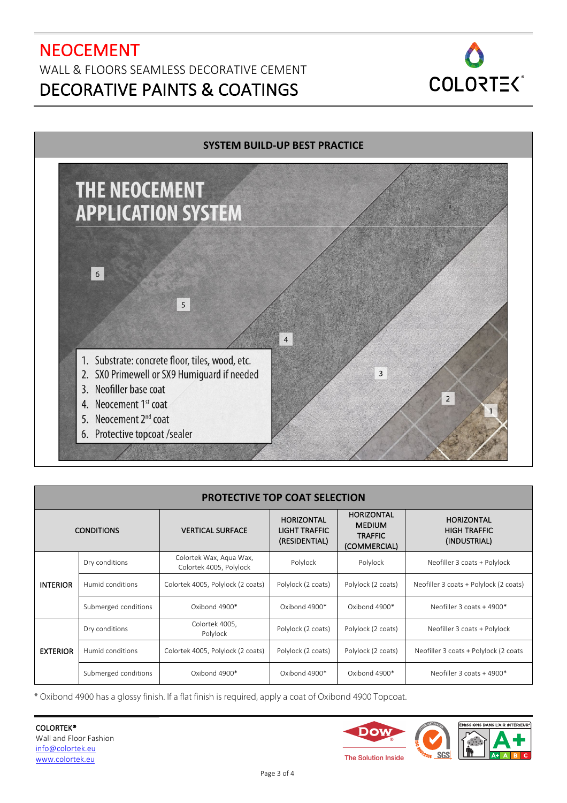# NEOCEMENT WALL & FLOORS SEAMLESS DECORATIVE CEMENT DECORATIVE PAINTS & COATINGS





| <b>PROTECTIVE TOP COAT SELECTION</b> |                      |                                                    |                                                            |                                                                      |                                                          |  |  |
|--------------------------------------|----------------------|----------------------------------------------------|------------------------------------------------------------|----------------------------------------------------------------------|----------------------------------------------------------|--|--|
| <b>CONDITIONS</b>                    |                      | <b>VERTICAL SURFACE</b>                            | <b>HORIZONTAL</b><br><b>LIGHT TRAFFIC</b><br>(RESIDENTIAL) | <b>HORIZONTAL</b><br><b>MEDIUM</b><br><b>TRAFFIC</b><br>(COMMERCIAL) | <b>HORIZONTAL</b><br><b>HIGH TRAFFIC</b><br>(INDUSTRIAL) |  |  |
| <b>INTERIOR</b>                      | Dry conditions       | Colortek Wax, Aqua Wax,<br>Colortek 4005, Polylock | Polylock                                                   | Polylock                                                             | Neofiller 3 coats + Polylock                             |  |  |
|                                      | Humid conditions     | Colortek 4005, Polylock (2 coats)                  | Polylock (2 coats)                                         | Polylock (2 coats)                                                   | Neofiller 3 coats + Polylock (2 coats)                   |  |  |
|                                      | Submerged conditions | Oxibond 4900*                                      | Oxibond 4900*                                              | Oxibond 4900*                                                        | Neofiller 3 coats + 4900*                                |  |  |
| <b>EXTERIOR</b>                      | Dry conditions       | Colortek 4005,<br>Polylock                         | Polylock (2 coats)                                         | Polylock (2 coats)                                                   | Neofiller 3 coats + Polylock                             |  |  |
|                                      | Humid conditions     | Colortek 4005, Polylock (2 coats)                  | Polylock (2 coats)                                         | Polylock (2 coats)                                                   | Neofiller 3 coats + Polylock (2 coats                    |  |  |
|                                      | Submerged conditions | Oxibond 4900*                                      | Oxibond 4900*                                              | Oxibond 4900*                                                        | Neofiller 3 coats $+$ 4900*                              |  |  |

\* Oxibond 4900 has a glossy finish. If a flat finish is required, apply a coat of Oxibond 4900 Topcoat.